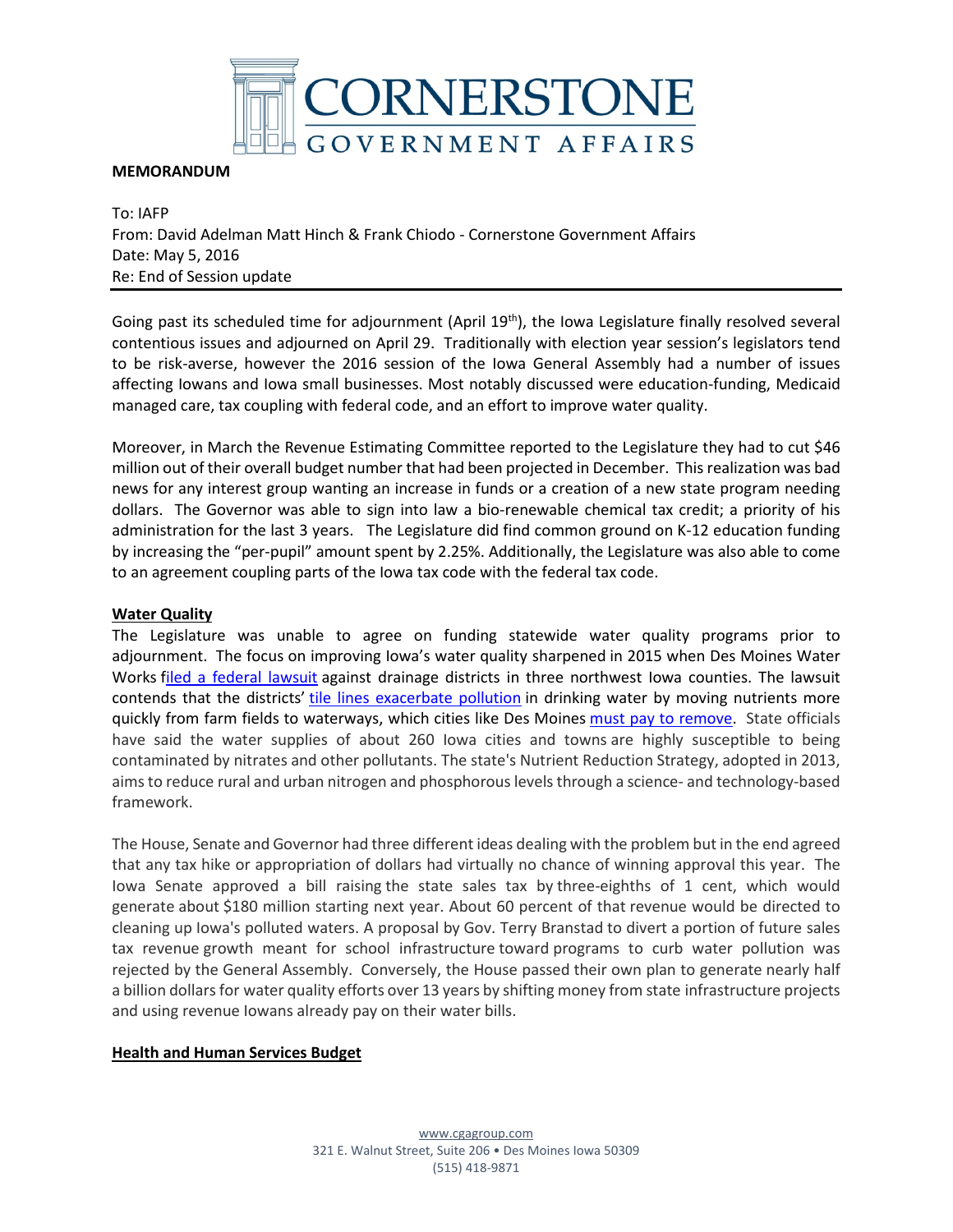

## **MEMORANDUM**

To: IAFP From: David Adelman Matt Hinch & Frank Chiodo - Cornerstone Government Affairs Date: May 5, 2016 Re: End of Session update

Going past its scheduled time for adjournment (April  $19<sup>th</sup>$ ), the Iowa Legislature finally resolved several contentious issues and adjourned on April 29. Traditionally with election year session's legislators tend to be risk-averse, however the 2016 session of the Iowa General Assembly had a number of issues affecting Iowans and Iowa small businesses. Most notably discussed were education-funding, Medicaid managed care, tax coupling with federal code, and an effort to improve water quality.

Moreover, in March the Revenue Estimating Committee reported to the Legislature they had to cut \$46 million out of their overall budget number that had been projected in December. This realization was bad news for any interest group wanting an increase in funds or a creation of a new state program needing dollars. The Governor was able to sign into law a bio-renewable chemical tax credit; a priority of his administration for the last 3 years. The Legislature did find common ground on K-12 education funding by increasing the "per-pupil" amount spent by 2.25%. Additionally, the Legislature was also able to come to an agreement coupling parts of the Iowa tax code with the federal tax code.

## **Water Quality**

The Legislature was unable to agree on funding statewide water quality programs prior to adjournment. The focus on improving Iowa's water quality sharpened in 2015 when Des Moines Water Works [filed a federal lawsuit](http://www.desmoinesregister.com/story/money/2015/10/27/iowa-counties-water-works-lawsuit-all-wet/74618820/) against drainage districts in three northwest Iowa counties. The lawsuit contends that the districts' [tile lines exacerbate pollution](http://www.desmoinesregister.com/story/money/agriculture/2015/09/14/farming-101-why-you-should-care-tiling-runoff/72266046/) in drinking water by moving nutrients more quickly from farm fields to waterways, which cities like Des Moines [must pay to remove.](http://www.desmoinesregister.com/story/news/2016/01/04/des-moines-water-works-sets-nitrate-removal-record-2015/78282568/) State officials have said the water supplies of about 260 Iowa cities and towns are highly susceptible to being contaminated by nitrates and other pollutants. The state's Nutrient Reduction Strategy, adopted in 2013, aims to reduce rural and urban nitrogen and phosphorous levels through a science- and technology-based framework.

The House, Senate and Governor had three different ideas dealing with the problem but in the end agreed that any tax hike or appropriation of dollars had virtually no chance of winning approval this year. The Iowa Senate approved a bill raising the state sales tax by three-eighths of 1 cent, which would generate about \$180 million starting next year. About 60 percent of that revenue would be directed to cleaning up Iowa's polluted waters. A proposal by Gov. Terry Branstad to divert a portion of future sales tax revenue growth meant for school infrastructure toward programs to curb water pollution was rejected by the General Assembly. Conversely, the House passed their own plan to generate nearly half a billion dollars for water quality efforts over 13 years by shifting money from state infrastructure projects and using revenue Iowans already pay on their water bills.

## **Health and Human Services Budget**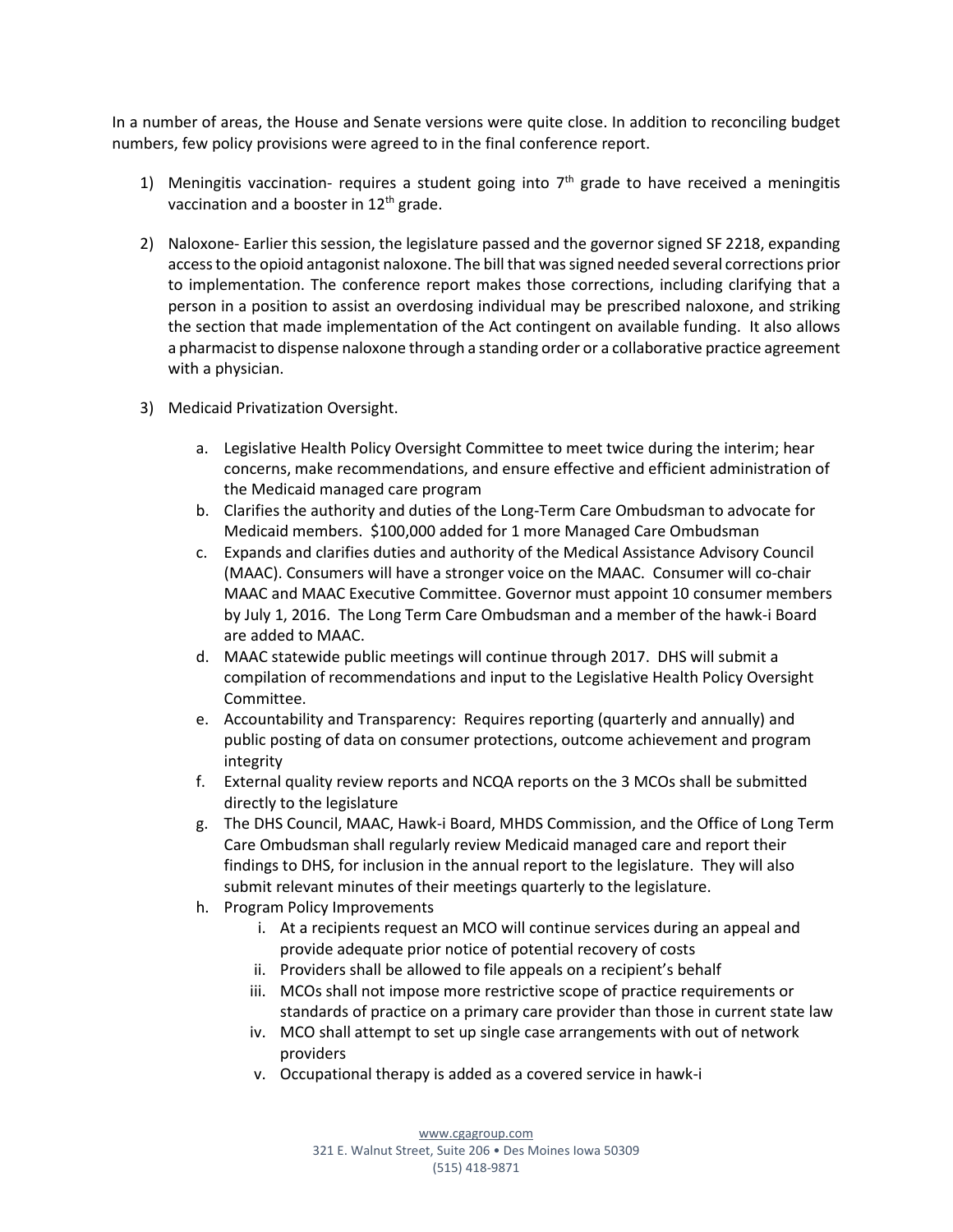In a number of areas, the House and Senate versions were quite close. In addition to reconciling budget numbers, few policy provisions were agreed to in the final conference report.

- 1) Meningitis vaccination- requires a student going into  $7<sup>th</sup>$  grade to have received a meningitis vaccination and a booster in  $12<sup>th</sup>$  grade.
- 2) Naloxone- Earlier this session, the legislature passed and the governor signed SF 2218, expanding access to the opioid antagonist naloxone. The bill that was signed needed several corrections prior to implementation. The conference report makes those corrections, including clarifying that a person in a position to assist an overdosing individual may be prescribed naloxone, and striking the section that made implementation of the Act contingent on available funding. It also allows a pharmacist to dispense naloxone through a standing order or a collaborative practice agreement with a physician.
- 3) Medicaid Privatization Oversight.
	- a. Legislative Health Policy Oversight Committee to meet twice during the interim; hear concerns, make recommendations, and ensure effective and efficient administration of the Medicaid managed care program
	- b. Clarifies the authority and duties of the Long-Term Care Ombudsman to advocate for Medicaid members. \$100,000 added for 1 more Managed Care Ombudsman
	- c. Expands and clarifies duties and authority of the Medical Assistance Advisory Council (MAAC). Consumers will have a stronger voice on the MAAC. Consumer will co-chair MAAC and MAAC Executive Committee. Governor must appoint 10 consumer members by July 1, 2016. The Long Term Care Ombudsman and a member of the hawk-i Board are added to MAAC.
	- d. MAAC statewide public meetings will continue through 2017. DHS will submit a compilation of recommendations and input to the Legislative Health Policy Oversight Committee.
	- e. Accountability and Transparency: Requires reporting (quarterly and annually) and public posting of data on consumer protections, outcome achievement and program integrity
	- f. External quality review reports and NCQA reports on the 3 MCOs shall be submitted directly to the legislature
	- g. The DHS Council, MAAC, Hawk-i Board, MHDS Commission, and the Office of Long Term Care Ombudsman shall regularly review Medicaid managed care and report their findings to DHS, for inclusion in the annual report to the legislature. They will also submit relevant minutes of their meetings quarterly to the legislature.
	- h. Program Policy Improvements
		- i. At a recipients request an MCO will continue services during an appeal and provide adequate prior notice of potential recovery of costs
		- ii. Providers shall be allowed to file appeals on a recipient's behalf
		- iii. MCOs shall not impose more restrictive scope of practice requirements or standards of practice on a primary care provider than those in current state law
		- iv. MCO shall attempt to set up single case arrangements with out of network providers
		- v. Occupational therapy is added as a covered service in hawk-i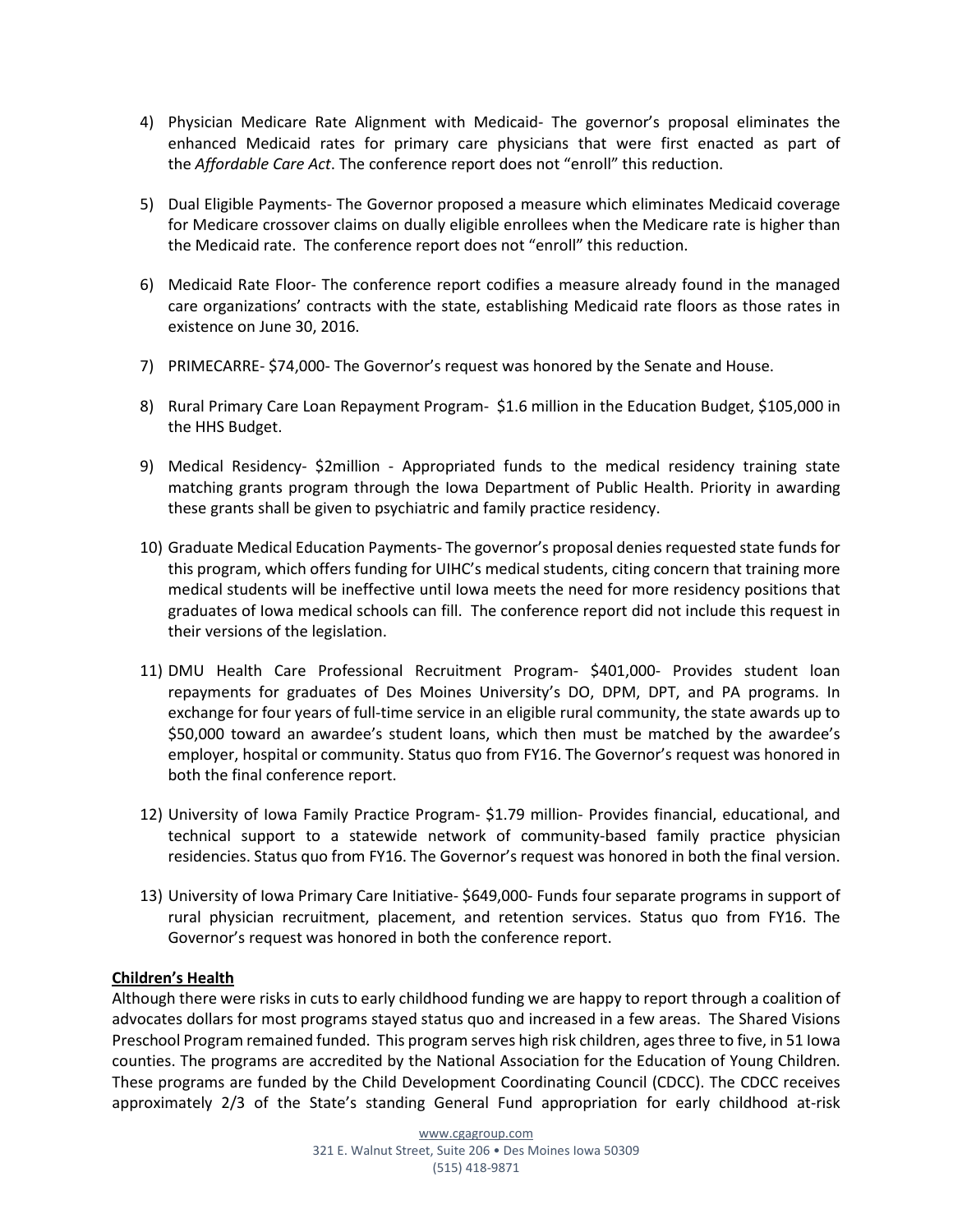- 4) Physician Medicare Rate Alignment with Medicaid- The governor's proposal eliminates the enhanced Medicaid rates for primary care physicians that were first enacted as part of the *Affordable Care Act*. The conference report does not "enroll" this reduction.
- 5) Dual Eligible Payments- The Governor proposed a measure which eliminates Medicaid coverage for Medicare crossover claims on dually eligible enrollees when the Medicare rate is higher than the Medicaid rate. The conference report does not "enroll" this reduction.
- 6) Medicaid Rate Floor- The conference report codifies a measure already found in the managed care organizations' contracts with the state, establishing Medicaid rate floors as those rates in existence on June 30, 2016.
- 7) PRIMECARRE- \$74,000- The Governor's request was honored by the Senate and House.
- 8) Rural Primary Care Loan Repayment Program- \$1.6 million in the Education Budget, \$105,000 in the HHS Budget.
- 9) Medical Residency- \$2million Appropriated funds to the medical residency training state matching grants program through the Iowa Department of Public Health. Priority in awarding these grants shall be given to psychiatric and family practice residency.
- 10) Graduate Medical Education Payments- The governor's proposal denies requested state funds for this program, which offers funding for UIHC's medical students, citing concern that training more medical students will be ineffective until Iowa meets the need for more residency positions that graduates of Iowa medical schools can fill. The conference report did not include this request in their versions of the legislation.
- 11) [DMU Health Care Professional Recruitment Program-](https://www.dmu.edu/financial-aid/scholarships/health-professional-recruitment-program/) \$401,000- Provides student loan repayments for graduates of Des Moines University's DO, DPM, DPT, and PA programs. In exchange for four years of full-time service in an eligible rural community, the state awards up to \$50,000 toward an awardee's student loans, which then must be matched by the awardee's employer, hospital or community. Status quo from FY16. The Governor's request was honored in both the final conference report.
- 12) University of Iowa Family Practice Program- \$1.79 million- Provides financial, educational, and technical support to a statewide network of community-based family practice physician residencies. Status quo from FY16. The Governor's request was honored in both the final version.
- 13) University of Iowa Primary Care Initiative- \$649,000- Funds four separate programs in support of rural physician recruitment, placement, and retention services. Status quo from FY16. The Governor's request was honored in both the conference report.

# **Children's Health**

Although there were risks in cuts to early childhood funding we are happy to report through a coalition of advocates dollars for most programs stayed status quo and increased in a few areas. The Shared Visions Preschool Program remained funded. This program serves high risk children, ages three to five, in 51 Iowa counties. The programs are accredited by the National Association for the Education of Young Children. These programs are funded by the Child Development Coordinating Council (CDCC). The CDCC receives approximately 2/3 of the State's standing General Fund appropriation for early childhood at-risk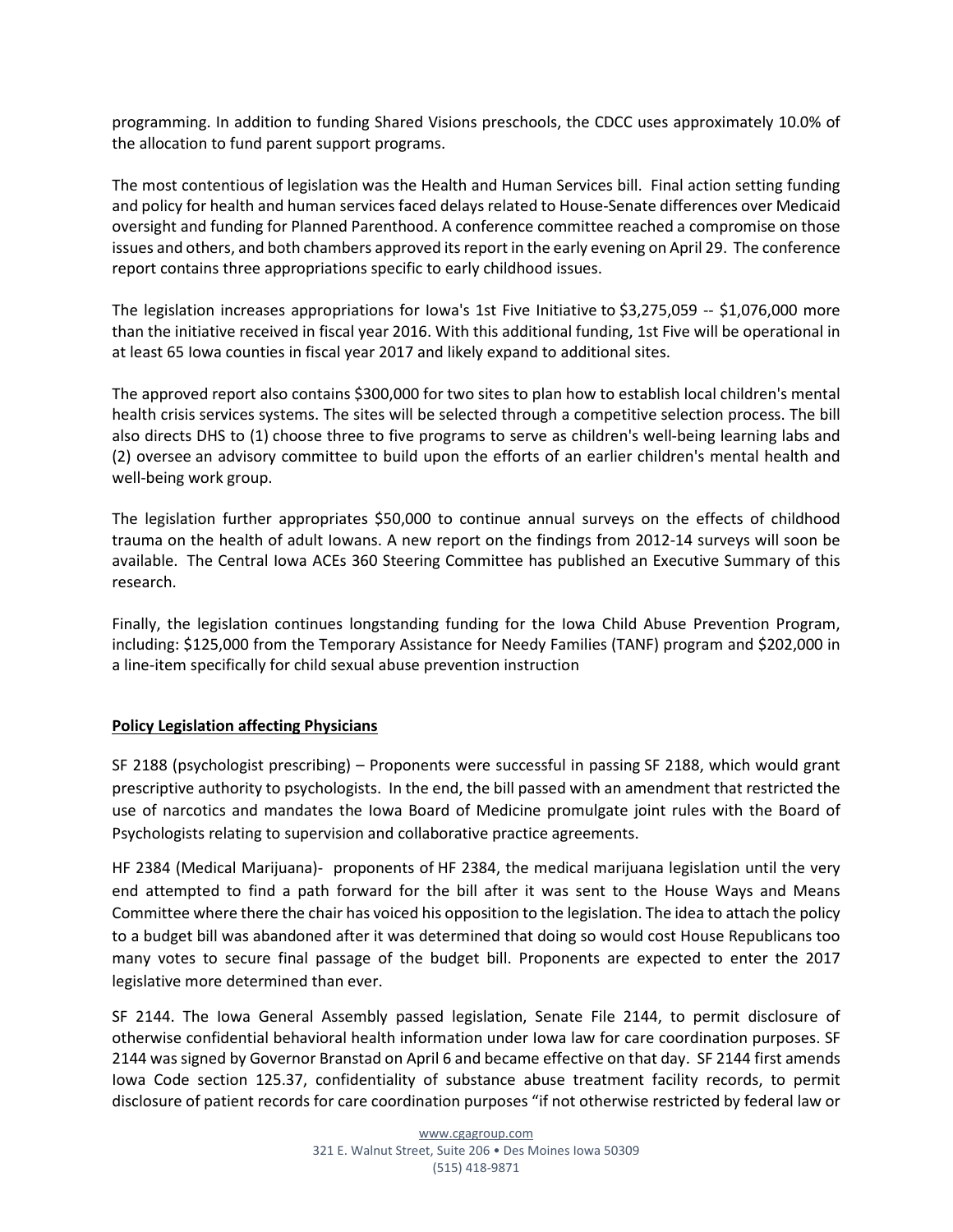programming. In addition to funding Shared Visions preschools, the CDCC uses approximately 10.0% of the allocation to fund parent support programs.

The most contentious of legislation was the Health and Human Services bill. Final action setting funding and policy for health and human services faced delays related to House-Senate differences over Medicaid oversight and funding for Planned Parenthood. A conference committee reached a compromise on those issues and others, and both chambers approved its report in the early evening on April 29. The conference report contains three appropriations specific to early childhood issues.

The legislation increases appropriations for Iowa's [1st Five Initiative](http://r20.rs6.net/tn.jsp?f=001-6HGK_mizMHkS_V5pxIsnzlMZUPpR0yezb5KvI61eAjiYXR0ImXjbNp3nOm_z6Oc5njBLt8GJKjdTc1iOy1Yfi7jDG5ZM-1STiOqAOq1581P_Ur8xmVaQcGjczHdTIE6_uNylhKNzvstNzvq6ZclOlWCfWDABZalO8Pg36jNnvqOcArNdeZ-Kw==&c=dBhYrJcXPw739kT0-9jW1XkEwU6E5geS3QXmuJDv7Yl-GOWuz3bg2g==&ch=jzcraWqHaZx_qF7a0KwMnXrvQJ7YV8zsp3alkeRM6372g_tlCSBk-Q==) to \$3,275,059 -- \$1,076,000 more than the initiative received in fiscal year 2016. With this additional funding, 1st Five will be operational in at least 65 Iowa counties in fiscal year 2017 and likely expand to additional sites.

The approved report also contains \$300,000 for two sites to plan how to establish local children's mental health crisis services systems. The sites will be selected through a competitive selection process. The bill also directs DHS to (1) choose three to five programs to serve as children's well-being learning labs and (2) oversee an advisory committee to build upon the efforts of an earlier children's mental health and well-being work group.

The legislation further appropriates \$50,000 to continue annual surveys on the effects of childhood trauma on the health of adult Iowans. A new report on the findings from 2012-14 surveys will soon be available. The Central Iowa ACEs 360 Steering Committee has published an [Executive Summary](http://r20.rs6.net/tn.jsp?f=001-6HGK_mizMHkS_V5pxIsnzlMZUPpR0yezb5KvI61eAjiYXR0ImXjbHruEgRi0lAv_S26SUxhcex4EHuyhB_SHD2rdoJzL5U1WqvOqGvpuEApcKIvhMq7Eh0TfpGs0wXcgQK2s-42YhelNen2X_hHk-rm3yB1oWDks5Phfk6WWKA6vWI4Vg0MrAzLn-11zGbY4yj7stKL08ABn1sH7ug1ep9COjibb-x8m25b6EVXST1R0e6q0rrcWel8i131srGNNMr5YH9mKrc=&c=dBhYrJcXPw739kT0-9jW1XkEwU6E5geS3QXmuJDv7Yl-GOWuz3bg2g==&ch=jzcraWqHaZx_qF7a0KwMnXrvQJ7YV8zsp3alkeRM6372g_tlCSBk-Q==) of this research.

Finally, the legislation continues longstanding funding for the [Iowa Child Abuse Prevention Program,](http://r20.rs6.net/tn.jsp?f=001-6HGK_mizMHkS_V5pxIsnzlMZUPpR0yezb5KvI61eAjiYXR0ImXjbKCfpl4eO-8c8PysDDG9zXHCyWy9D2HEwQoUNTikbtmiovbWFbAokmf4Si5npn7vkSnqMBb6TLV3BtheYds6t1eOdUsxPQWw9aKrdVBN3qMJPVZbjBUNZ2w9UrUFkuhcKwY6NDlBASIl33NNC8mW5qY=&c=dBhYrJcXPw739kT0-9jW1XkEwU6E5geS3QXmuJDv7Yl-GOWuz3bg2g==&ch=jzcraWqHaZx_qF7a0KwMnXrvQJ7YV8zsp3alkeRM6372g_tlCSBk-Q==)  including: \$125,000 from the Temporary Assistance for Needy Families (TANF) program and \$202,000 in a line-item specifically for child sexual abuse prevention instruction

# **Policy Legislation affecting Physicians**

SF 2188 (psychologist prescribing) – Proponents were successful in passing SF 2188, which would grant prescriptive authority to psychologists. In the end, the bill passed with an amendment that restricted the use of narcotics and mandates the Iowa Board of Medicine promulgate joint rules with the Board of Psychologists relating to supervision and collaborative practice agreements.

HF 2384 (Medical Marijuana)- proponents of HF 2384, the medical marijuana legislation until the very end attempted to find a path forward for the bill after it was sent to the House Ways and Means Committee where there the chair has voiced his opposition to the legislation. The idea to attach the policy to a budget bill was abandoned after it was determined that doing so would cost House Republicans too many votes to secure final passage of the budget bill. Proponents are expected to enter the 2017 legislative more determined than ever.

SF 2144. The Iowa General Assembly passed legislation, Senate File 2144, to permit disclosure of otherwise confidential behavioral health information under Iowa law for care coordination purposes. SF 2144 was signed by Governor Branstad on April 6 and became effective on that day. SF 2144 first amends Iowa Code section 125.37, confidentiality of substance abuse treatment facility records, to permit disclosure of patient records for care coordination purposes "if not otherwise restricted by federal law or